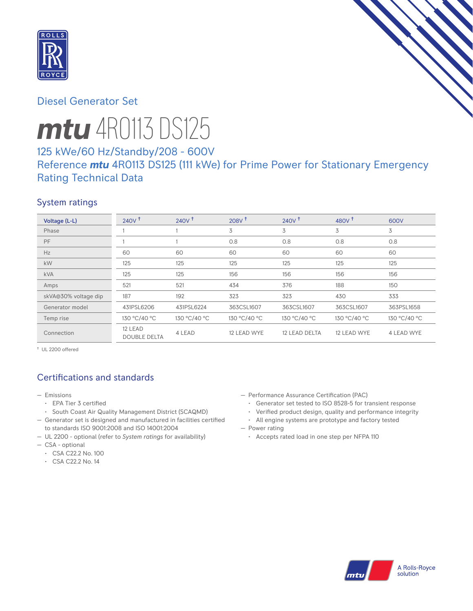

# Diesel Generator Set

# *mtu* 4R0113 DS125

# 125 kWe/60 Hz/Standby/208 - 600V Reference *mtu* 4R0113 DS125 (111 kWe) for Prime Power for Stationary Emergency Rating Technical Data

# System ratings

| Voltage (L-L)        | 240V <sup>†</sup>              | $240V$ <sup>t</sup> | $208V$ <sup>t</sup> | $240V$ <sup>+</sup> | 480 $V†$     | 600V         |
|----------------------|--------------------------------|---------------------|---------------------|---------------------|--------------|--------------|
| Phase                |                                |                     | 3                   | 3                   | 3            | 3            |
| PF                   |                                |                     | 0.8                 | 0.8                 | 0.8          | 0.8          |
| Hz                   | 60                             | 60                  | 60                  | 60                  | 60           | 60           |
| kW                   | 125                            | 125                 | 125                 | 125                 | 125          | 125          |
| <b>kVA</b>           | 125                            | 125                 | 156                 | 156                 | 156          | 156          |
| Amps                 | 521                            | 521                 | 434                 | 376                 | 188          | 150          |
| skVA@30% voltage dip | 187                            | 192                 | 323                 | 323                 | 430          | 333          |
| Generator model      | 431PSL6206                     | 431PSL6224          | 363CSL1607          | 363CSL1607          | 363CSL1607   | 363PSL1658   |
| Temp rise            | 130 °C/40 °C                   | 130 °C/40 °C        | 130 °C/40 °C        | 130 °C/40 °C        | 130 °C/40 °C | 130 °C/40 °C |
| Connection           | 12 LEAD<br><b>DOUBLE DELTA</b> | 4 LEAD              | 12 LEAD WYE         | 12 LEAD DELTA       | 12 LEAD WYE  | 4 LEAD WYE   |

† UL 2200 offered

# Certifications and standards

- Emissions
	- EPA Tier 3 certified
	- South Coast Air Quality Management District (SCAQMD)
- Generator set is designed and manufactured in facilities certified to standards ISO 9001:2008 and ISO 14001:2004
- UL 2200 optional (refer to *System ratings* for availability)
- CSA optional
	- CSA C22.2 No. 100
	- CSA C22.2 No. 14
- Performance Assurance Certification (PAC)
	- Generator set tested to ISO 8528-5 for transient response
	- Verified product design, quality and performance integrity
- All engine systems are prototype and factory tested — Power rating
	- Accepts rated load in one step per NFPA 110

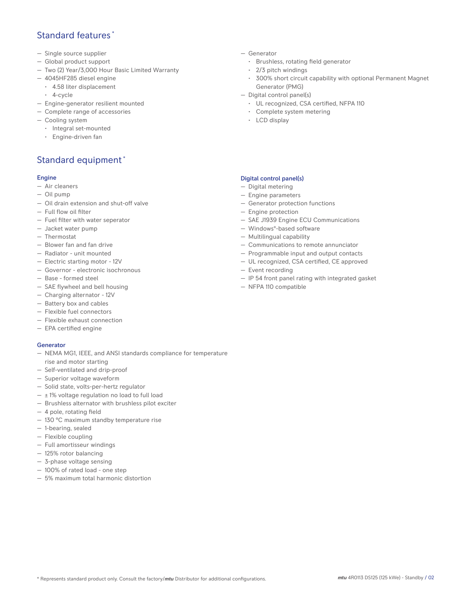## Standard features \*

- Single source supplier
- Global product support
- Two (2) Year/3,000 Hour Basic Limited Warranty
- 4045HF285 diesel engine
- 4.58 liter displacement
- 4-cycle
- Engine-generator resilient mounted
- Complete range of accessories
- Cooling system
	- Integral set-mounted
	- Engine-driven fan

# Standard equipment \*

### Engine

- Air cleaners
- Oil pump
- Oil drain extension and shut-off valve
- Full flow oil filter
- Fuel filter with water seperator
- Jacket water pump
- Thermostat
- Blower fan and fan drive
- Radiator unit mounted
- Electric starting motor 12V
- Governor electronic isochronous
- Base formed steel
- SAE flywheel and bell housing
- Charging alternator 12V
- Battery box and cables
- Flexible fuel connectors
- Flexible exhaust connection
- EPA certified engine

### Generator

- NEMA MG1, IEEE, and ANSI standards compliance for temperature rise and motor starting
- Self-ventilated and drip-proof
- Superior voltage waveform
- Solid state, volts-per-hertz regulator
- $\pm$  1% voltage regulation no load to full load
- Brushless alternator with brushless pilot exciter
- 4 pole, rotating field
- 130 °C maximum standby temperature rise
- 1-bearing, sealed
- Flexible coupling
- Full amortisseur windings
- 125% rotor balancing
- 3-phase voltage sensing
- 100% of rated load one step
- 5% maximum total harmonic distortion
- Generator
	- Brushless, rotating field generator
	- 2/3 pitch windings
	- 300% short circuit capability with optional Permanent Magnet Generator (PMG)
- Digital control panel(s)
	- UL recognized, CSA certified, NFPA 110
	- Complete system metering
	- LCD display

## Digital control panel(s)

- Digital metering
- Engine parameters
- Generator protection functions
- Engine protection
- SAE J1939 Engine ECU Communications
- Windows®-based software
- Multilingual capability
- Communications to remote annunciator
- Programmable input and output contacts
- UL recognized, CSA certified, CE approved
- Event recording
- IP 54 front panel rating with integrated gasket
- NFPA 110 compatible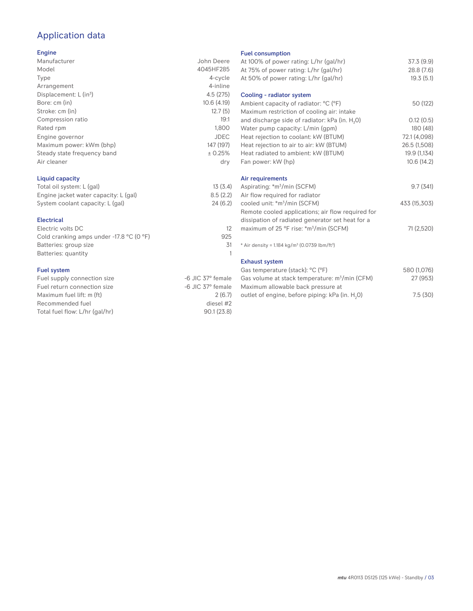# Application data

## Engine

| Manufacturer                | John Deere  |
|-----------------------------|-------------|
| Model                       | 4045HF285   |
| Type                        | 4-cycle     |
| Arrangement                 | 4-inline    |
| Displacement: $L (in3)$     | 4.5(275)    |
| Bore: cm (in)               | 10.6(4.19)  |
| Stroke: cm (in)             | 12.7(5)     |
| Compression ratio           | 19:1        |
| Rated rpm                   | 1,800       |
| Engine governor             | <b>JDEC</b> |
| Maximum power: kWm (bhp)    | 147 (197)   |
| Steady state frequency band | ± 0.25%     |
| Air cleaner                 | dry         |
|                             |             |

## Liquid capacity

| Total oil system: L (gal)             | 13(3.4)  |
|---------------------------------------|----------|
| Engine jacket water capacity: L (gal) | 8.5(2.2) |
| System coolant capacity: L (gal)      | 24(6.2)  |

## Electrical

| Electric volts DC                                            |     |
|--------------------------------------------------------------|-----|
| Cold cranking amps under -17.8 $^{\circ}$ C (O $^{\circ}$ F) | 925 |
| Batteries: group size                                        | .31 |
| Batteries: quantity                                          |     |
|                                                              |     |

## Fuel system

| Fuel supply connection size    | -6 JIC 37° female |
|--------------------------------|-------------------|
| Fuel return connection size    | -6 JIC 37° female |
| Maximum fuel lift: m (ft)      | 2(6.7)            |
| Recommended fuel               | diesel #2         |
| Total fuel flow: L/hr (gal/hr) | 90.1(23.8)        |
|                                |                   |

#### Fuel consumption

| At 100% of power rating: L/hr (gal/hr)<br>At 75% of power rating: L/hr (gal/hr) | 37.3 (9.9)<br>28.8 (7.6) |
|---------------------------------------------------------------------------------|--------------------------|
| At 50% of power rating: L/hr (gal/hr)                                           | 19.3(5.1)                |
| Cooling - radiator system                                                       |                          |
| Ambient capacity of radiator: °C (°F)                                           | 50 (122)                 |
| Maximum restriction of cooling air: intake                                      |                          |
| and discharge side of radiator: kPa (in. H <sub>2</sub> O)                      | 0.12(0.5)                |
| Water pump capacity: L/min (gpm)                                                | 180 (48)                 |
| Heat rejection to coolant: kW (BTUM)                                            | 72.1 (4,098)             |
| Heat rejection to air to air: kW (BTUM)                                         | 26.5 (1,508)             |
| Heat radiated to ambient: kW (BTUM)                                             | 19.9 (1,134)             |
| Fan power: kW (hp)                                                              | 10.6(14.2)               |
| Air requirements                                                                |                          |
| Aspirating: *m <sup>3</sup> /min (SCFM)                                         | 9.7(341)                 |
| Air flow required for radiator                                                  |                          |
| cooled unit: *m <sup>3</sup> /min (SCFM)                                        | 433 (15,303)             |
| Remote cooled applications; air flow required for                               |                          |
| dissipation of radiated generator set heat for a                                |                          |
| maximum of 25 °F rise: *m <sup>3</sup> /min (SCFM)                              | 71 (2,520)               |
| * Air density = $1.184 \text{ kg/m}^3$ (0.0739 lbm/ft <sup>3</sup> )            |                          |
| <b>Exhaust system</b>                                                           |                          |
| Gas temperature (stack): °C (°F)                                                | 580 (1,076)              |
| Gas volume at stack temperature: m <sup>3</sup> /min (CFM)                      | 27 (953)                 |
| Maximum allowable back pressure at                                              |                          |
| outlet of engine, before piping: kPa (in. H <sub>2</sub> 0)                     | 7.5(30)                  |
|                                                                                 |                          |